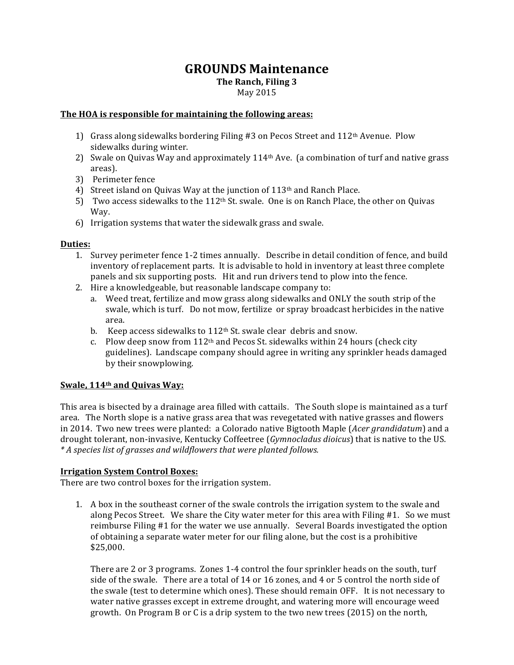# **GROUNDS Maintenance**

**The Ranch, Filing 3** 

## May 2015

### The HOA is responsible for maintaining the following areas:

- 1) Grass along sidewalks bordering Filing #3 on Pecos Street and  $112<sup>th</sup>$  Avenue. Plow sidewalks during winter.
- 2) Swale on Quivas Way and approximately 114<sup>th</sup> Ave. (a combination of turf and native grass areas).
- 3) Perimeter fence
- 4) Street island on Quivas Way at the junction of  $113<sup>th</sup>$  and Ranch Place.
- 5) Two access sidewalks to the 112<sup>th</sup> St. swale. One is on Ranch Place, the other on Quivas Way.
- 6) Irrigation systems that water the sidewalk grass and swale.

### **Duties:**

- 1. Survey perimeter fence 1-2 times annually. Describe in detail condition of fence, and build inventory of replacement parts. It is advisable to hold in inventory at least three complete panels and six supporting posts. Hit and run drivers tend to plow into the fence.
- 2. Hire a knowledgeable, but reasonable landscape company to:
	- a. Weed treat, fertilize and mow grass along sidewalks and ONLY the south strip of the swale, which is turf. Do not mow, fertilize or spray broadcast herbicides in the native area.
	- b. Keep access sidewalks to  $112<sup>th</sup>$  St. swale clear debris and snow.
	- c. Plow deep snow from  $112<sup>th</sup>$  and Pecos St. sidewalks within 24 hours (check city guidelines). Landscape company should agree in writing any sprinkler heads damaged by their snowplowing.

### Swale, 114<sup>th</sup> and Quivas Way:

This area is bisected by a drainage area filled with cattails. The South slope is maintained as a turf area. The North slope is a native grass area that was revegetated with native grasses and flowers in 2014. Two new trees were planted: a Colorado native Bigtooth Maple (*Acer grandidatum*) and a drought tolerant, non-invasive, Kentucky Coffeetree (*Gymnocladus dioicus*) that is native to the US. *\*%A%species%list%of%grasses%and%wildflowers%that%were%planted%follows.*

### **Irrigation System Control Boxes:**

There are two control boxes for the irrigation system.

1. A box in the southeast corner of the swale controls the irrigation system to the swale and along Pecos Street. We share the City water meter for this area with Filing  $#1$ . So we must reimburse Filing #1 for the water we use annually. Several Boards investigated the option of obtaining a separate water meter for our filing alone, but the cost is a prohibitive \$25,000.\$

There are 2 or 3 programs. Zones 1-4 control the four sprinkler heads on the south, turf side of the swale. There are a total of  $14$  or  $16$  zones, and  $4$  or 5 control the north side of the swale (test to determine which ones). These should remain OFF. It is not necessary to water native grasses except in extreme drought, and watering more will encourage weed growth. On Program B or C is a drip system to the two new trees (2015) on the north,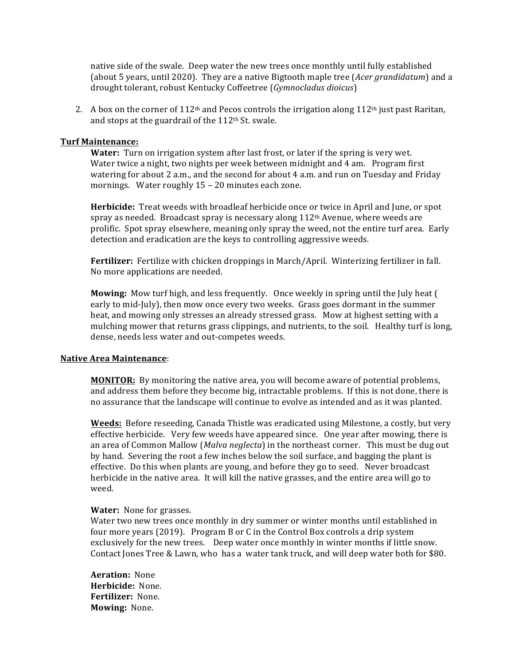native side of the swale. Deep water the new trees once monthly until fully established (about 5 years, until 2020). They are a native Bigtooth maple tree (*Acer grandidatum*) and a drought tolerant, robust Kentucky Coffeetree (Gymnocladus dioicus)

2. A box on the corner of 112<sup>th</sup> and Pecos controls the irrigation along 112<sup>th</sup> just past Raritan, and stops at the guardrail of the 112<sup>th</sup> St. swale.

#### **Turf Maintenance:**

Water: Turn on irrigation system after last frost, or later if the spring is very wet. Water twice a night, two nights per week between midnight and 4 am. Program first watering for about 2 a.m., and the second for about 4 a.m. and run on Tuesday and Friday mornings. Water roughly 15 - 20 minutes each zone.

Herbicide: Treat weeds with broadleaf herbicide once or twice in April and June, or spot spray as needed. Broadcast spray is necessary along  $112<sup>th</sup>$  Avenue, where weeds are prolific. Spot spray elsewhere, meaning only spray the weed, not the entire turf area. Early detection and eradication are the keys to controlling aggressive weeds.

Fertilizer: Fertilize with chicken droppings in March/April. Winterizing fertilizer in fall. No more applications are needed.

**Mowing:** Mow turf high, and less frequently. Once weekly in spring until the July heat ( early to mid-July), then mow once every two weeks. Grass goes dormant in the summer heat, and mowing only stresses an already stressed grass. Mow at highest setting with a mulching mower that returns grass clippings, and nutrients, to the soil. Healthy turf is long, dense, needs less water and out-competes weeds.

#### **Native Area Maintenance:**

**MONITOR:** By monitoring the native area, you will become aware of potential problems, and address them before they become big, intractable problems. If this is not done, there is no assurance that the landscape will continue to evolve as intended and as it was planted.

**Weeds:** Before reseeding, Canada Thistle was eradicated using Milestone, a costly, but very effective herbicide. Very few weeds have appeared since. One year after mowing, there is an area of Common Mallow (Malva neglecta) in the northeast corner. This must be dug out by hand. Severing the root a few inches below the soil surface, and bagging the plant is effective. Do this when plants are young, and before they go to seed. Never broadcast herbicide in the native area. It will kill the native grasses, and the entire area will go to weed.

#### Water: None for grasses.

Water two new trees once monthly in dry summer or winter months until established in four more years (2019). Program B or C in the Control Box controls a drip system exclusively for the new trees. Deep water once monthly in winter months if little snow. Contact Jones Tree & Lawn, who has a water tank truck, and will deep water both for \$80.

**Aeration: None** Herbicide: None. Fertilizer: None. Mowing: None.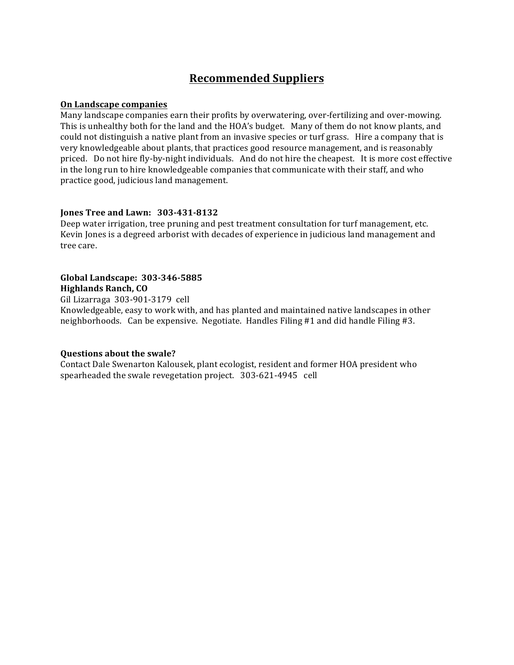# **Recommended Suppliers**

#### On Landscape companies

Many landscape companies earn their profits by overwatering, over-fertilizing and over-mowing. This is unhealthy both for the land and the HOA's budget. Many of them do not know plants, and could not distinguish a native plant from an invasive species or turf grass. Hire a company that is very knowledgeable about plants, that practices good resource management, and is reasonably priced. Do not hire fly-by-night individuals. And do not hire the cheapest. It is more cost effective in the long run to hire knowledgeable companies that communicate with their staff, and who practice good, judicious land management.

### Jones Tree and Lawn: 303-431-8132

Deep water irrigation, tree pruning and pest treatment consultation for turf management, etc. Kevin Jones is a degreed arborist with decades of experience in judicious land management and tree care.

## Global Landscape: 303-346-5885 **Highlands Ranch, CO**

Gil Lizarraga 303-901-3179 cell Knowledgeable, easy to work with, and has planted and maintained native landscapes in other neighborhoods. Can be expensive. Negotiate. Handles Filing #1 and did handle Filing #3.

### **Questions about the swale?**

Contact Dale Swenarton Kalousek, plant ecologist, resident and former HOA president who spearheaded the swale revegetation project. 303-621-4945 cell